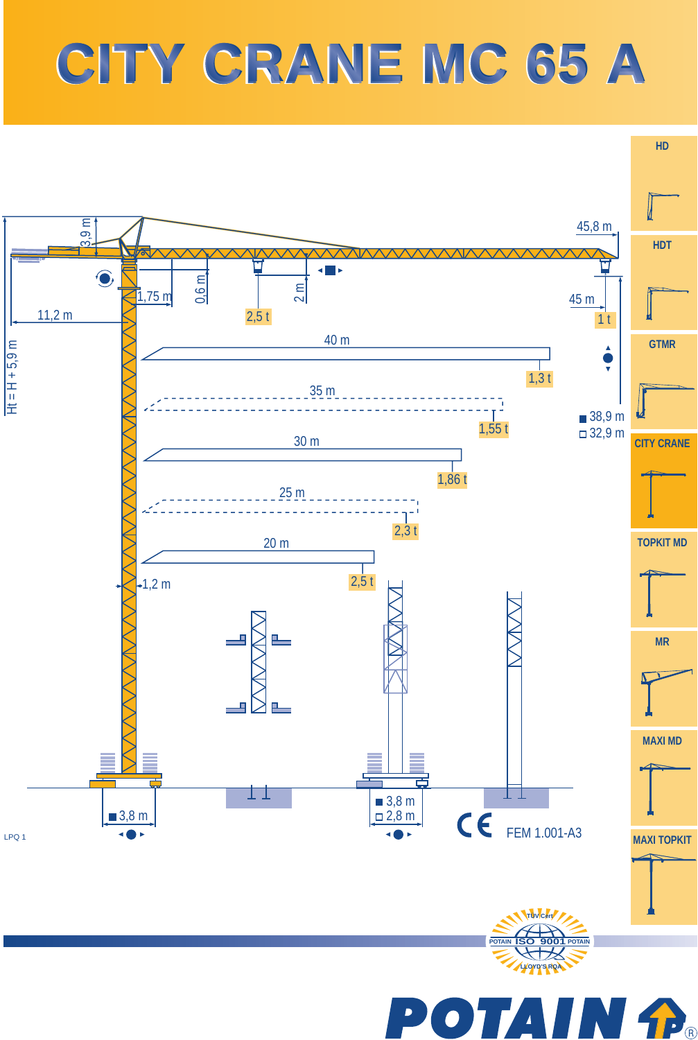## **CITY CRANE MC 65 A CITY CRANE MC 65 A**



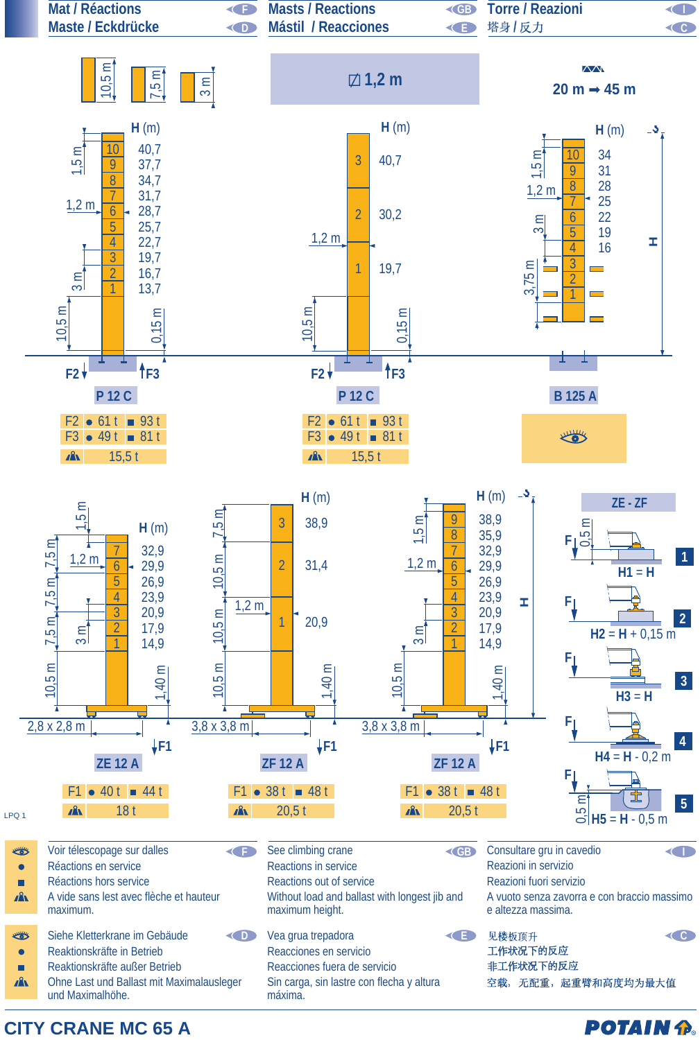

**CITY CRANE MC 65 A**

**POTAIN P.**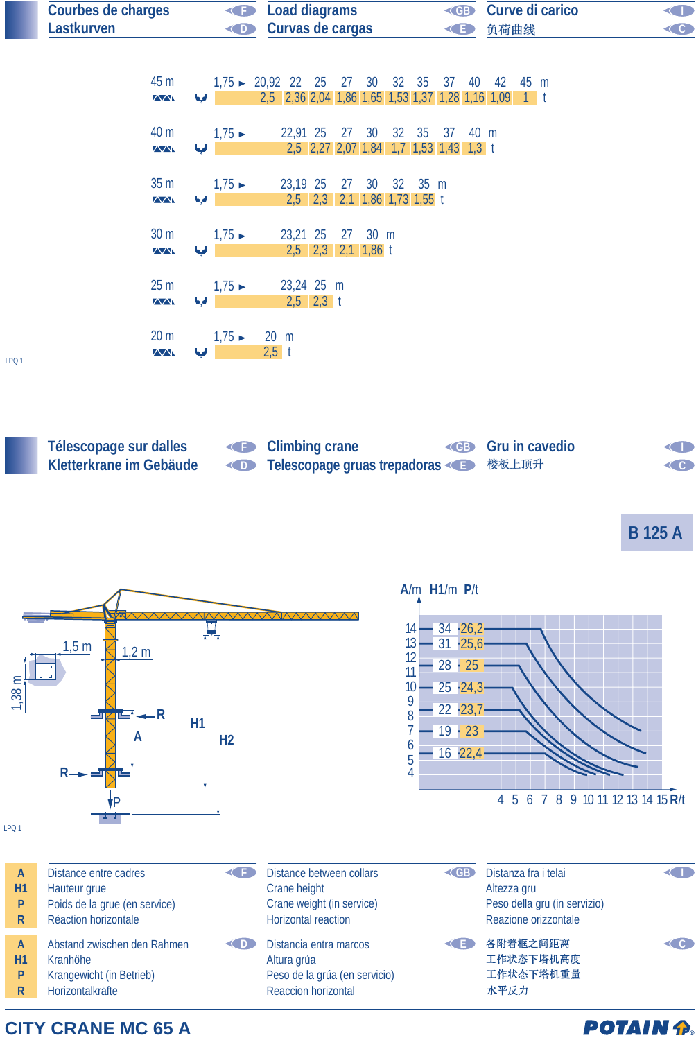|                  | <b>Courbes de charges</b><br>Lastkurven            | O<br>$\bigodot$             | <b>Load diagrams</b><br>Curvas de cargas                                                           | <b>KGB</b><br>G | Curve di carico<br>负荷曲线 | $\blacksquare$<br>C |
|------------------|----------------------------------------------------|-----------------------------|----------------------------------------------------------------------------------------------------|-----------------|-------------------------|---------------------|
|                  | 45 m<br>$\overline{\triangle\triangle}$            | الحيا                       | $1,75 \rightarrow 20,92$ 22 25 27 30 32 35<br>2,5 2,36 2,04 1,86 1,65 1,53 1,37 1,28 1,16 1,09 1 t |                 | 37 40 42 45 m           |                     |
|                  | 40 m<br>$\sqrt{N}$                                 | $1,75 \rightarrow$<br>ابها  | 22,91 25 27 30<br>2,5 2,27 2,07 1,84 1,7 1,53 1,43 1,3 t                                           | 32 35<br>37     | 40 m                    |                     |
|                  | 35 <sub>m</sub><br>$\sqrt{N}$                      | $1,75 \rightarrow$<br>الها  | 23,19 25<br>27 30<br>2,5 2,3 2,1 1,86 1,73 1,55 t                                                  | 32 35 m         |                         |                     |
|                  | 30 <sub>m</sub><br>$\overline{\triangle\triangle}$ | $1,75 \rightarrow$<br>لحيا  | 23,21 25<br>27<br>$30 \text{ m}$<br>$2,5$ $2,3$ $2,1$ $1,86$ t                                     |                 |                         |                     |
|                  | 25 <sub>m</sub><br>$\sqrt{N}$                      | $1,75 \rightarrow$<br>ابها  | 23,24 25 m<br>$2,5$ 2,3 t                                                                          |                 |                         |                     |
| LPQ <sub>1</sub> | 20 <sub>m</sub><br>$\sqrt{N}$                      | $1,75 \rightarrow$<br>أفيعا | $20 \text{ m}$<br>$2,5$ t                                                                          |                 |                         |                     |

| Télescopage sur dalles  | <b>E</b> Climbing crane                            | <b>Example 3 Gru in cavedio</b> | <b>KIN</b>         |
|-------------------------|----------------------------------------------------|---------------------------------|--------------------|
| Kletterkrane im Gebäude | <b>OD Telescopage gruas trepadoras &lt;<a></a></b> |                                 | $\left( 0 \right)$ |

**B 125 A**



## **CITY CRANE MC 65 A**